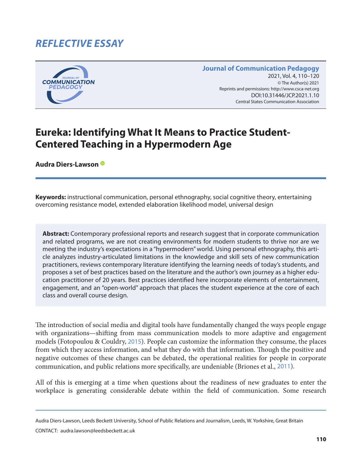# *REFLECTIVE ESSAY*



#### **Journal of Communication Pedagogy** 2021, Vol. 4, 110-120 © The Author(s) 2021 Reprints and permissions: <http://www.csca-net.org> 2021, Vol. 4, 110–1202021Reprints and permissions:<http://www.csca-net.org> DOI:10.31446/JCP.2021.1.10 Central States Communication Association Central States Communication Association

# **Eureka: Identifying What It Means to Practice Student-Centered Teaching in a Hypermodern Age**

**Audra Diers-Lawson**

**Keywords:** instructional communication, personal ethnography, social cognitive theory, entertaining overcoming resistance model, extended elaboration likelihood model, universal design

**Abstract:** Contemporary professional reports and research suggest that in corporate communication and related programs, we are not creating environments for modern students to thrive nor are we meeting the industry's expectations in a "hypermodern" world. Using personal ethnography, this article analyzes industry-articulated limitations in the knowledge and skill sets of new communication practitioners, reviews contemporary literature identifying the learning needs of today's students, and proposes a set of best practices based on the literature and the author's own journey as a higher education practitioner of 20 years. Best practices identified here incorporate elements of entertainment, engagement, and an "open-world" approach that places the student experience at the core of each class and overall course design.

The introduction of social media and digital tools have fundamentally changed the ways people engage with organizations—shifting from mass communication models to more adaptive and engagement models (Fotopoulou & Couldry, [2015](#page-9-0)). People can customize the information they consume, the places from which they access information, and what they do with that information. Though the positive and negative outcomes of these changes can be debated, the operational realities for people in corporate communication, and public relations more specifically, are undeniable (Briones et al., [2011](#page-9-0)).

All of this is emerging at a time when questions about the readiness of new graduates to enter the workplace is generating considerable debate within the field of communication. Some research

Audra Diers-Lawson, Leeds Beckett University, School of Public Relations and Journalism, Leeds, W. Yorkshire, Great Britain

CONTACT: audra.lawson@leedsbeckett.ac.uk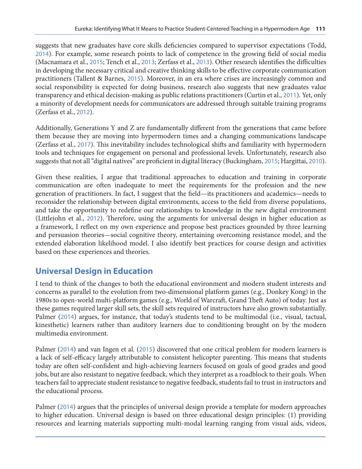suggests that new graduates have core skills deficiencies compared to supervisor expectations (Todd, [2014](#page-10-0)). For example, some research points to lack of competence in the growing field of social media (Macnamara et al., [2015](#page-9-0); Tench et al., [2013](#page-10-0); Zerfass et al., [2013](#page-10-0)). Other research identifies the difficulties in developing the necessary critical and creative thinking skills to be effective corporate communication practitioners (Tallent & Barnes, [2015](#page-10-0)). Moreover, in an era where crises are increasingly common and social responsibility is expected for doing business, research also suggests that new graduates value transparency and ethical decision-making as public relations practitioners (Curtin et al., [2011](#page-9-0)). Yet, only a minority of development needs for communicators are addressed through suitable training programs (Zerfass et al., [2012](#page-10-0)).

Additionally, Generations Y and Z are fundamentally different from the generations that came before them because they are moving into hypermodern times and a changing communications landscape (Zerfass et al., [2017](#page-10-0)). This inevitability includes technological shifts and familiarity with hypermodern tools and techniques for engagement on personal and professional levels. Unfortunately, research also suggests that not all "digital natives" are proficient in digital literacy (Buckingham, [2015](#page-9-0); Hargittai, [2010](#page-9-0)).

Given these realities, I argue that traditional approaches to education and training in corporate communication are often inadequate to meet the requirements for the profession and the new generation of practitioners. In fact, I suggest that the field—its practitioners and academics—needs to reconsider the relationship between digital environments, access to the field from diverse populations, and take the opportunity to redefine our relationships to knowledge in the new digital environment (Littlejohn et al., [2012](#page-9-0)). Therefore, using the arguments for universal design in higher education as a framework, I reflect on my own experience and propose best practices grounded by three learning and persuasion theories—social cognitive theory, entertaining overcoming resistance model, and the extended elaboration likelihood model. I also identify best practices for course design and activities based on these experiences and theories.

### **Universal Design in Education**

I tend to think of the changes to both the educational environment and modern student interests and concerns as parallel to the evolution from two-dimensional platform games (e.g., Donkey Kong) in the 1980s to open-world multi-platform games (e.g., World of Warcraft, Grand Theft Auto) of today. Just as these games required larger skill sets, the skill sets required of instructors have also grown substantially. Palmer ([2014](#page-10-0)) argues, for instance, that today's students tend to be multimodal (i.e., visual, tactual, kinesthetic) learners rather than auditory learners due to conditioning brought on by the modern multimedia environment.

Palmer ([2014](#page-10-0)) and van Ingen et al. ([2015](#page-10-0)) discovered that one critical problem for modern learners is a lack of self-efficacy largely attributable to consistent helicopter parenting. This means that students today are often self-confident and high-achieving learners focused on goals of good grades and good jobs, but are also resistant to negative feedback, which they interpret as a roadblock to their goals. When teachers fail to appreciate student resistance to negative feedback, students fail to trust in instructors and the educational process.

Palmer ([2014](#page-10-0)) argues that the principles of universal design provide a template for modern approaches to higher education. Universal design is based on three educational design principles: (1) providing resources and learning materials supporting multi-modal learning ranging from visual aids, videos,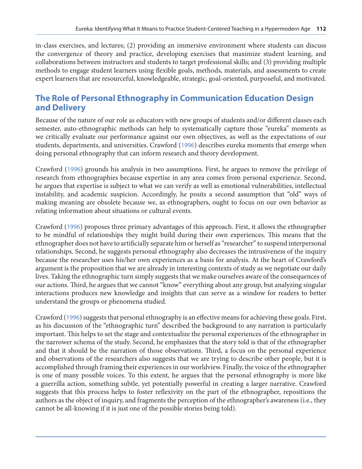in-class exercises, and lectures; (2) providing an immersive environment where students can discuss the convergence of theory and practice, developing exercises that maximize student learning, and collaborations between instructors and students to target professional skills; and (3) providing multiple methods to engage student learners using flexible goals, methods, materials, and assessments to create expert learners that are resourceful, knowledgeable, strategic, goal-oriented, purposeful, and motivated.

## **The Role of Personal Ethnography in Communication Education Design and Delivery**

Because of the nature of our role as educators with new groups of students and/or different classes each semester, auto-ethnographic methods can help to systematically capture those "eureka" moments as we critically evaluate our performance against our own objectives, as well as the expectations of our students, departments, and universities. Crawford ([1996](#page-9-0)) describes eureka moments that emerge when doing personal ethnography that can inform research and theory development.

Crawford ([1996](#page-9-0)) grounds his analysis in two assumptions. First, he argues to remove the privilege of research from ethnographies because expertise in any area comes from personal experience. Second, he argues that expertise is subject to what we can verify as well as emotional vulnerabilities, intellectual instability, and academic suspicion. Accordingly, he posits a second assumption that "old" ways of making meaning are obsolete because we, as ethnographers, ought to focus on our own behavior as relating information about situations or cultural events.

Crawford ([1996](#page-9-0)) proposes three primary advantages of this approach. First, it allows the ethnographer to be mindful of relationships they might build during their own experiences. This means that the ethnographer does not have to artificially separate him or herself as "researcher" to suspend interpersonal relationships. Second, he suggests personal ethnography also decreases the intrusiveness of the inquiry because the researcher uses his/her own experiences as a basis for analysis. At the heart of Crawford's argument is the proposition that we are already in interesting contexts of study as we negotiate our daily lives. Taking the ethnographic turn simply suggests that we make ourselves aware of the consequences of our actions. Third, he argues that we cannot "know" everything about any group, but analyzing singular interactions produces new knowledge and insights that can serve as a window for readers to better understand the groups or phenomena studied.

Crawford ([1996](#page-9-0)) suggests that personal ethnography is an effective means for achieving these goals. First, as his discussion of the "ethnographic turn" described the background to any narration is particularly important. This helps to set the stage and contextualize the personal experiences of the ethnographer in the narrower schema of the study. Second, he emphasizes that the story told is that of the ethnographer and that it should be the narration of those observations. Third, a focus on the personal experience and observations of the researchers also suggests that we are trying to describe other people, but it is accomplished through framing their experiences in our worldview. Finally, the voice of the ethnographer is one of many possible voices. To this extent, he argues that the personal ethnography is more like a guerrilla action, something subtle, yet potentially powerful in creating a larger narrative. Crawford suggests that this process helps to foster reflexivity on the part of the ethnographer, repositions the authors as the object of inquiry, and fragments the perception of the ethnographer's awareness (i.e., they cannot be all-knowing if it is just one of the possible stories being told).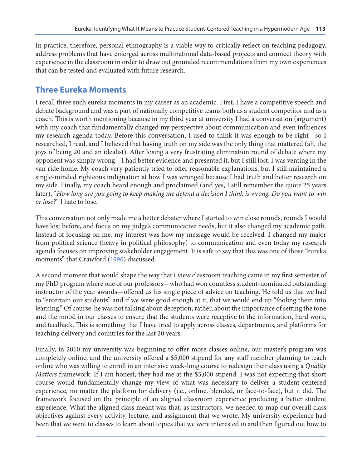In practice, therefore, personal ethnography is a viable way to critically reflect on teaching pedagogy, address problems that have emerged across multinational data-based projects and connect theory with experience in the classroom in order to draw out grounded recommendations from my own experiences that can be tested and evaluated with future research.

## **Three Eureka Moments**

I recall three such eureka moments in my career as an academic. First, I have a competitive speech and debate background and was a part of nationally competitive teams both as a student competitor and as a coach. This is worth mentioning because in my third year at university I had a conversation (argument) with my coach that fundamentally changed my perspective about communication and even influences my research agenda today. Before this conversation, I used to think it was enough to be right—so I researched, I read, and I believed that having truth on my side was the only thing that mattered (ah, the joys of being 20 and an idealist). After losing a very frustrating elimination round of debate where my opponent was simply wrong—I had better evidence and presented it, but I still lost, I was venting in the van ride home. My coach very patiently tried to offer reasonable explanations, but I still maintained a single-minded righteous indignation at how I was wronged because I had truth and better research on my side. Finally, my coach heard enough and proclaimed (and yes, I still remember the quote 25 years later), "*How long are you going to keep making me defend a decision I think is wrong. Do you want to win or lose?*" I hate to lose.

This conversation not only made me a better debater where I started to win close rounds, rounds I would have lost before, and focus on my judge's communicative needs, but it also changed my academic path. Instead of focusing on me, my interest was how my message would be received. I changed my major from political science (heavy in political philosophy) to communication and even today my research agenda focuses on improving stakeholder engagement. It is safe to say that this was one of those "eureka moments" that Crawford ([1996](#page-9-0)) discussed.

A second moment that would shape the way that I view classroom teaching came in my first semester of my PhD program where one of our professors—who had won countless student-nominated outstanding instructor of the year awards—offered us his single piece of advice on teaching. He told us that we had to "entertain our students" and if we were good enough at it, that we would end up "fooling them into learning." Of course, he was not talking about deception; rather, about the importance of setting the tone and the mood in our classes to ensure that the students were receptive to the information, hard work, and feedback. This is something that I have tried to apply across classes, departments, and platforms for teaching delivery and countries for the last 20 years.

Finally, in 2010 my university was beginning to offer more classes online, our master's program was completely online, and the university offered a \$5,000 stipend for any staff member planning to teach online who was willing to enroll in an intensive week-long course to redesign their class using a *Quality Matters* framework. If I am honest, they had me at the \$5,000 stipend. I was not expecting that short course would fundamentally change my view of what was necessary to deliver a student-centered experience, no matter the platform for delivery (i.e., online, blended, or face-to-face), but it did. The framework focused on the principle of an aligned classroom experience producing a better student experience. What the aligned class meant was that, as instructors, we needed to map our overall class objectives against every activity, lecture, and assignment that we wrote. My university experience had been that we went to classes to learn about topics that we were interested in and then figured out how to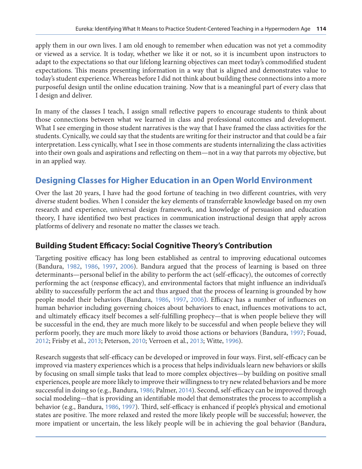apply them in our own lives. I am old enough to remember when education was not yet a commodity or viewed as a service. It is today, whether we like it or not, so it is incumbent upon instructors to adapt to the expectations so that our lifelong learning objectives can meet today's commodified student expectations. This means presenting information in a way that is aligned and demonstrates value to today's student experience. Whereas before I did not think about building these connections into a more purposeful design until the online education training. Now that is a meaningful part of every class that I design and deliver.

In many of the classes I teach, I assign small reflective papers to encourage students to think about those connections between what we learned in class and professional outcomes and development. What I see emerging in those student narratives is the way that I have framed the class activities for the students. Cynically, we could say that the students are writing for their instructor and that could be a fair interpretation. Less cynically, what I see in those comments are students internalizing the class activities into their own goals and aspirations and reflecting on them—not in a way that parrots my objective, but in an applied way.

# **Designing Classes for Higher Education in an Open World Environment**

Over the last 20 years, I have had the good fortune of teaching in two different countries, with very diverse student bodies. When I consider the key elements of transferrable knowledge based on my own research and experience, universal design framework, and knowledge of persuasion and education theory, I have identified two best practices in communication instructional design that apply across platforms of delivery and resonate no matter the classes we teach.

#### **Building Student Efficacy: Social Cognitive Theory's Contribution**

Targeting positive efficacy has long been established as central to improving educational outcomes (Bandura, [1982](#page-9-0), [1986](#page-9-0), [1997](#page-9-0), [2006](#page-9-0)). Bandura argued that the process of learning is based on three determinants—personal belief in the ability to perform the act (self-efficacy), the outcomes of correctly performing the act (response efficacy), and environmental factors that might influence an individual's ability to successfully perform the act and thus argued that the process of learning is grounded by how people model their behaviors (Bandura, [1986](#page-9-0), [1997](#page-9-0), [2006](#page-9-0)). Efficacy has a number of influences on human behavior including governing choices about behaviors to enact, influences motivations to act, and ultimately efficacy itself becomes a self-fulfilling prophecy—that is when people believe they will be successful in the end, they are much more likely to be successful and when people believe they will perform poorly, they are much more likely to avoid those actions or behaviors (Bandura, [1997](#page-9-0); Fouad, [2012](#page-9-0); Frisby et al., [2013](#page-9-0); Peterson, [2010](#page-10-0); Verroen et al., [2013](#page-10-0); Witte, [1996](#page-10-0)).

Research suggests that self-efficacy can be developed or improved in four ways. First, self-efficacy can be improved via mastery experiences which is a process that helps individuals learn new behaviors or skills by focusing on small simple tasks that lead to more complex objectives—by building on positive small experiences, people are more likely to improve their willingness to try new related behaviors and be more successful in doing so (e.g., Bandura, [1986](#page-9-0); Palmer, [2014](#page-10-0)). Second, self-efficacy can be improved through social modeling—that is providing an identifiable model that demonstrates the process to accomplish a behavior (e.g., Bandura, [1986](#page-9-0), [1997](#page-9-0)). Third, self-efficacy is enhanced if people's physical and emotional states are positive. The more relaxed and rested the more likely people will be successful; however, the more impatient or uncertain, the less likely people will be in achieving the goal behavior (Bandura,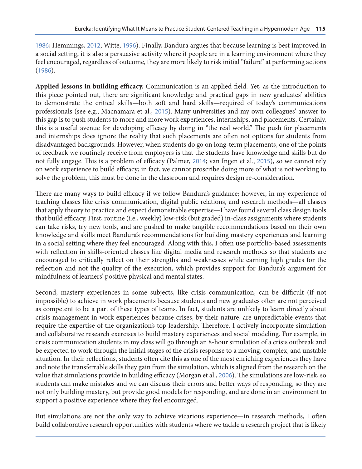[1986](#page-9-0); Hemmings, [2012](#page-9-0); Witte, [1996](#page-10-0)). Finally, Bandura argues that because learning is best improved in a social setting, it is also a persuasive activity where if people are in a learning environment where they feel encouraged, regardless of outcome, they are more likely to risk initial "failure" at performing actions ([1986](#page-9-0)).

**Applied lessons in building efficacy.** Communication is an applied field. Yet, as the introduction to this piece pointed out, there are significant knowledge and practical gaps in new graduates' abilities to demonstrate the critical skills—both soft and hard skills—required of today's communications professionals (see e.g., Macnamara et al., [2015](#page-9-0)). Many universities and my own colleagues' answer to this gap is to push students to more and more work experiences, internships, and placements. Certainly, this is a useful avenue for developing efficacy by doing in "the real world." The push for placements and internships does ignore the reality that such placements are often not options for students from disadvantaged backgrounds. However, when students do go on long-term placements, one of the points of feedback we routinely receive from employers is that the students have knowledge and skills but do not fully engage. This is a problem of efficacy (Palmer, [2014](#page-10-0); van Ingen et al., [2015](#page-10-0)), so we cannot rely on work experience to build efficacy; in fact, we cannot proscribe doing more of what is not working to solve the problem, this must be done in the classroom and requires design re-consideration.

There are many ways to build efficacy if we follow Bandura's guidance; however, in my experience of teaching classes like crisis communication, digital public relations, and research methods—all classes that apply theory to practice and expect demonstrable expertise—I have found several class design tools that build efficacy. First, routine (i.e., weekly) low-risk (but graded) in-class assignments where students can take risks, try new tools, and are pushed to make tangible recommendations based on their own knowledge and skills meet Bandura's recommendations for building mastery experiences and learning in a social setting where they feel encouraged. Along with this, I often use portfolio-based assessments with reflection in skills-oriented classes like digital media and research methods so that students are encouraged to critically reflect on their strengths and weaknesses while earning high grades for the reflection and not the quality of the execution, which provides support for Bandura's argument for mindfulness of learners' positive physical and mental states.

Second, mastery experiences in some subjects, like crisis communication, can be difficult (if not impossible) to achieve in work placements because students and new graduates often are not perceived as competent to be a part of these types of teams. In fact, students are unlikely to learn directly about crisis management in work experiences because crises, by their nature, are unpredictable events that require the expertise of the organization's top leadership. Therefore, I actively incorporate simulation and collaborative research exercises to build mastery experiences and social modeling. For example, in crisis communication students in my class will go through an 8-hour simulation of a crisis outbreak and be expected to work through the initial stages of the crisis response to a moving, complex, and unstable situation. In their reflections, students often cite this as one of the most enriching experiences they have and note the transferrable skills they gain from the simulation, which is aligned from the research on the value that simulations provide in building efficacy (Morgan et al., [2006](#page-9-0)). The simulations are low-risk, so students can make mistakes and we can discuss their errors and better ways of responding, so they are not only building mastery, but provide good models for responding, and are done in an environment to support a positive experience where they feel encouraged.

But simulations are not the only way to achieve vicarious experience—in research methods, I often build collaborative research opportunities with students where we tackle a research project that is likely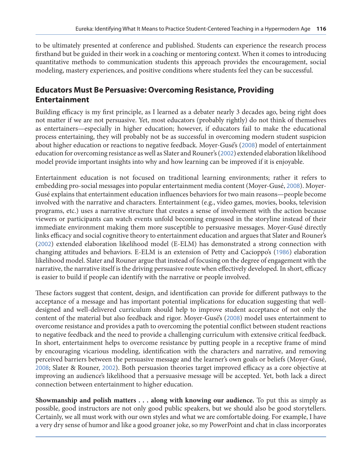to be ultimately presented at conference and published. Students can experience the research process firsthand but be guided in their work in a coaching or mentoring context. When it comes to introducing quantitative methods to communication students this approach provides the encouragement, social modeling, mastery experiences, and positive conditions where students feel they can be successful.

#### **Educators Must Be Persuasive: Overcoming Resistance, Providing Entertainment**

Building efficacy is my first principle, as I learned as a debater nearly 3 decades ago, being right does not matter if we are not persuasive. Yet, most educators (probably rightly) do not think of themselves as entertainers—especially in higher education; however, if educators fail to make the educational process entertaining, they will probably not be as successful in overcoming modern student suspicion about higher education or reactions to negative feedback. Moyer-Gusé's ([2008](#page-10-0)) model of entertainment education for overcoming resistance as well as Slater and Rouner's ([2002](#page-10-0)) extended elaboration likelihood model provide important insights into why and how learning can be improved if it is enjoyable.

Entertainment education is not focused on traditional learning environments; rather it refers to embedding pro-social messages into popular entertainment media content (Moyer-Gusé, [2008](#page-10-0)). Moyer-Gusé explains that entertainment education influences behaviors for two main reasons—people become involved with the narrative and characters. Entertainment (e.g., video games, movies, books, television programs, etc.) uses a narrative structure that creates a sense of involvement with the action because viewers or participants can watch events unfold becoming engrossed in the storyline instead of their immediate environment making them more susceptible to persuasive messages. Moyer-Gusé directly links efficacy and social cognitive theory to entertainment education and argues that Slater and Rouner's ([2002](#page-10-0)) extended elaboration likelihood model (E-ELM) has demonstrated a strong connection with changing attitudes and behaviors. E-ELM is an extension of Petty and Cacioppo's ([1986](#page-10-0)) elaboration likelihood model. Slater and Rouner argue that instead of focusing on the degree of engagement with the narrative, the narrative itself is the driving persuasive route when effectively developed. In short, efficacy is easier to build if people can identify with the narrative or people involved.

These factors suggest that content, design, and identification can provide for different pathways to the acceptance of a message and has important potential implications for education suggesting that welldesigned and well-delivered curriculum should help to improve student acceptance of not only the content of the material but also feedback and rigor. Moyer-Gusé's ([2008](#page-10-0)) model uses entertainment to overcome resistance and provides a path to overcoming the potential conflict between student reactions to negative feedback and the need to provide a challenging curriculum with extensive critical feedback. In short, entertainment helps to overcome resistance by putting people in a receptive frame of mind by encouraging vicarious modeling, identification with the characters and narrative, and removing perceived barriers between the persuasive message and the learner's own goals or beliefs (Moyer-Gusé, [2008](#page-10-0); Slater & Rouner, [2002](#page-10-0)). Both persuasion theories target improved efficacy as a core objective at improving an audience's likelihood that a persuasive message will be accepted. Yet, both lack a direct connection between entertainment to higher education.

**Showmanship and polish matters . . . along with knowing our audience.** To put this as simply as possible, good instructors are not only good public speakers, but we should also be good storytellers. Certainly, we all must work with our own styles and what we are comfortable doing. For example, I have a very dry sense of humor and like a good groaner joke, so my PowerPoint and chat in class incorporates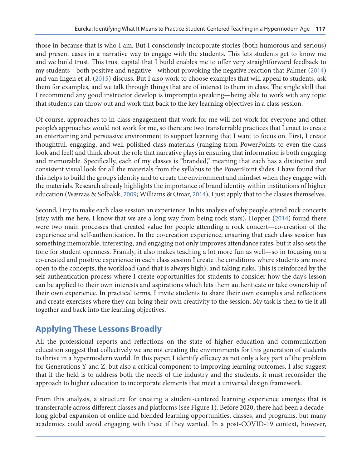those in because that is who I am. But I consciously incorporate stories (both humorous and serious) and present cases in a narrative way to engage with the students. This lets students get to know me and we build trust. This trust capital that I build enables me to offer very straightforward feedback to my students—both positive and negative—without provoking the negative reaction that Palmer ([2014](#page-10-0)) and van Ingen et al. ([2015](#page-10-0)) discuss. But I also work to choose examples that will appeal to students, ask them for examples, and we talk through things that are of interest to them in class. The single skill that I recommend any good instructor develop is impromptu speaking—being able to work with any topic that students can throw out and work that back to the key learning objectives in a class session.

Of course, approaches to in-class engagement that work for me will not work for everyone and other people's approaches would not work for me, so there are two transferrable practices that I enact to create an entertaining and persuasive environment to support learning that I want to focus on. First, I create thoughtful, engaging, and well-polished class materials (ranging from PowerPoints to even the class look and feel) and think about the role that narrative plays in ensuring that information is both engaging and memorable. Specifically, each of my classes is "branded," meaning that each has a distinctive and consistent visual look for all the materials from the syllabus to the PowerPoint slides. I have found that this helps to build the group's identity and to create the environment and mindset when they engage with the materials. Research already highlights the importance of brand identity within institutions of higher education (Wæraas & Solbakk, [2009](#page-10-0); Williams & Omar, [2014](#page-10-0)), I just apply that to the classes themselves.

Second, I try to make each class session an experience. In his analysis of why people attend rock concerts (stay with me here, I know that we are a long way from being rock stars), Hopper ([2014](#page-9-0)) found there were two main processes that created value for people attending a rock concert—co-creation of the experience and self-authentication. In the co-creation experience, ensuring that each class session has something memorable, interesting, and engaging not only improves attendance rates, but it also sets the tone for student openness. Frankly, it also makes teaching a lot more fun as well—so in focusing on a co-created and positive experience in each class session I create the conditions where students are more open to the concepts, the workload (and that is always high), and taking risks. This is reinforced by the self-authentication process where I create opportunities for students to consider how the day's lesson can be applied to their own interests and aspirations which lets them authenticate or take ownership of their own experience. In practical terms, I invite students to share their own examples and reflections and create exercises where they can bring their own creativity to the session. My task is then to tie it all together and back into the learning objectives.

# **Applying These Lessons Broadly**

All the professional reports and reflections on the state of higher education and communication education suggest that collectively we are not creating the environments for this generation of students to thrive in a hypermodern world. In this paper, I identify efficacy as not only a key part of the problem for Generations Y and Z, but also a critical component to improving learning outcomes. I also suggest that if the field is to address both the needs of the industry and the students, it must reconsider the approach to higher education to incorporate elements that meet a universal design framework.

From this analysis, a structure for creating a student-centered learning experience emerges that is transferrable across different classes and platforms (see Figure 1). Before 2020, there had been a decadelong global expansion of online and blended learning opportunities, classes, and programs, but many academics could avoid engaging with these if they wanted. In a post-COVID-19 context, however,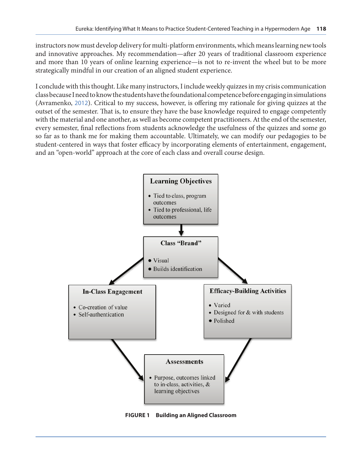instructors now must develop delivery for multi-platform environments, which means learning new tools and innovative approaches. My recommendation—after 20 years of traditional classroom experience and more than 10 years of online learning experience—is not to re-invent the wheel but to be more strategically mindful in our creation of an aligned student experience.

I conclude with this thought. Like many instructors, I include weekly quizzes in my crisis communication class because I need to know the students have the foundational competence before engaging in simulations (Avramenko, [2012](#page-9-0)). Critical to my success, however, is offering my rationale for giving quizzes at the outset of the semester. That is, to ensure they have the base knowledge required to engage competently with the material and one another, as well as become competent practitioners. At the end of the semester, every semester, final reflections from students acknowledge the usefulness of the quizzes and some go so far as to thank me for making them accountable. Ultimately, we can modify our pedagogies to be student-centered in ways that foster efficacy by incorporating elements of entertainment, engagement, and an "open-world" approach at the core of each class and overall course design.

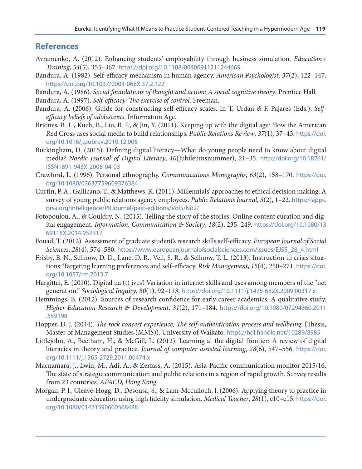#### <span id="page-9-0"></span>**References**

- Avramenko, A. (2012). Enhancing students' employability through business simulation. *Education+ Training*, *54*(5), 355–367. <https://doi.org/10.1108/00400911211244669>
- Bandura, A. (1982). Self-efficacy mechanism in human agency. *American Psychologist, 37*(2), 122–147. <https://doi.org/10.1037/0003-066X.37.2.122>
- Bandura, A. (1986). *Social foundations of thought and action: A social cognitive theory*. Prentice Hall.
- Bandura, A. (1997). *Self-efficacy: The exercise of control*. Freeman.
- Bandura, A. (2006). Guide for constructing self-efficacy scales. In T. Urdan & F. Pajares (Eds.), *Selfefficacy beliefs of adolescents*. Information Age.
- Briones, R. L., Kuch, B., Liu, B. F., & Jin, Y. (2011). Keeping up with the digital age: How the American Red Cross uses social media to build relationships. *Public Relations Review*, *37*(1), 37–43. [https://doi.](https://doi.org/10.1016/j.pubrev.2010.12.006) [org/10.1016/j.pubrev.2010.12.006](https://doi.org/10.1016/j.pubrev.2010.12.006)
- Buckingham, D. (2015). Defining digital literacy—What do young people need to know about digital media? *Nordic Journal of Digital Literacy*, *10*(Jubileumsnummer), 21–35. [http://doi.org/10.18261/](http://doi.org/10.18261/ISSN1891-943X-2006-04-03) [ISSN1891-943X-2006-04-03](http://doi.org/10.18261/ISSN1891-943X-2006-04-03)
- Crawford, L. (1996). Personal ethnography. *Communications Monographs*, *63*(2), 158–170. [https://doi.](https://doi.org/10.1080/03637759609376384) [org/10.1080/03637759609376384](https://doi.org/10.1080/03637759609376384)
- Curtin, P. A., Gallicano, T., & Matthews, K. (2011). Millennials' approaches to ethical decision making: A survey of young public relations agency employees. *Public Relations Journal*, *5*(2), 1–22. [https://apps.](https://apps.prsa.org/intelligence/PRJournal/past-editions/Vol5/No2/) [prsa.org/intelligence/PRJournal/past-editions/Vol5/No2/](https://apps.prsa.org/intelligence/PRJournal/past-editions/Vol5/No2/)
- Fotopoulou, A., & Couldry, N. (2015). Telling the story of the stories: Online content curation and digital engagement. *Information, Communication & Society*, *18*(2), 235–249. [https://doi.org/10.1080/13](https://doi.org/10.1080/1369118X.2014.952317) [69118X.2014.952317](https://doi.org/10.1080/1369118X.2014.952317)
- Fouad, T. (2012). Assessment of graduate student's research skills self-efficacy. *European Journal of Social Sciences*, *28*(4), 574–580. [https://www.europeanjournalofsocialsciences.com/issues/EJSS\\_28\\_4.html](https://www.europeanjournalofsocialsciences.com/issues/EJSS_28_4.html)
- Frisby, B. N., Sellnow, D. D., Lane, D. R., Veil, S. R., & Sellnow, T. L. (2013). Instruction in crisis situations: Targeting learning preferences and self-efficacy. *Risk Management*, *15*(4), 250–271. [https://doi.](https://doi.org/10.1057/rm.2013.7) [org/10.1057/rm.2013.7](https://doi.org/10.1057/rm.2013.7)
- Hargittai, E. (2010). Digital na (t) ives? Variation in internet skills and uses among members of the "net generation." *Sociological Inquiry*, *80*(1), 92–113. <https://doi.org/10.1111/j.1475-682X.2009.00317.x>
- Hemmings, B. (2012). Sources of research confidence for early career academics: A qualitative study. *Higher Education Research & Development*, *31*(2), 171–184. [https://doi.org/10.1080/07294360.2011](https://doi.org/10.1080/07294360.2011.559198) [.559198](https://doi.org/10.1080/07294360.2011.559198)
- Hopper, D. J. (2014). *The rock concert experience: The self-authentication process and wellbeing.* (Thesis, Master of Management Studies (MMS)), University of Waikato. <https://hdl.handle.net/10289/8985>
- Littlejohn, A., Beetham, H., & McGill, L. (2012). Learning at the digital frontier: A review of digital literacies in theory and practice. *Journal of computer assisted learning*, *28*(6), 547–556. [https://doi.](https://doi.org/10.1111/j.1365-2729.2011.00474.x) [org/10.1111/j.1365-2729.2011.00474.x](https://doi.org/10.1111/j.1365-2729.2011.00474.x)
- Macnamara, J., Lwin, M., Adi, A., & Zerfass, A. (2015). Asia-Pacific communication monitor 2015/16. The state of strategic communication and public relations in a region of rapid growth. Survey results from 23 countries. *APACD, Hong Kong*.
- Morgan, P. J., Cleave-Hogg, D., Desousa, S., & Lam-Mcculloch, J. (2006). Applying theory to practice in undergraduate education using high fidelity simulation. *Medical Teacher*, *28*(1), e10–e15. [https://doi.](https://doi.org/10.1080/01421590600568488) [org/10.1080/01421590600568488](https://doi.org/10.1080/01421590600568488)